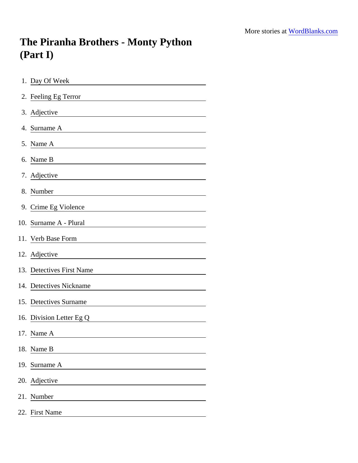## The Piranha Brothers - Monty Python (Part I)

| 1. Day Of Week                                                                                                                      |
|-------------------------------------------------------------------------------------------------------------------------------------|
| 2. Feeling Eg Terror                                                                                                                |
| 3. Adjective                                                                                                                        |
| 4. Surname A                                                                                                                        |
| 5. Name A<br><u> 1980 - Johann Barn, mars ann an t-Aontaithe ann an t-Aontaithe ann an t-Aontaithe ann an t-Aontaithe ann an t-</u> |
| 6. Name B                                                                                                                           |
| 7. Adjective                                                                                                                        |
| 8. Number                                                                                                                           |
| 9. Crime Eg Violence<br><u> 1989 - Johann Stoff, Amerikaansk politiker (</u>                                                        |
| 10. Surname A - Plural                                                                                                              |
| 11. Verb Base Form                                                                                                                  |
| 12. Adjective                                                                                                                       |
| 13. Detectives First Name                                                                                                           |
| 14. Detectives Nickname                                                                                                             |
| 15. Detectives Surname                                                                                                              |
| 16. Division Letter Eg Q                                                                                                            |
| 17. Name A                                                                                                                          |
| 18. Name B                                                                                                                          |
| 19. Surname A                                                                                                                       |
| 20. Adjective                                                                                                                       |
| 21. Number                                                                                                                          |
| 22. First Name                                                                                                                      |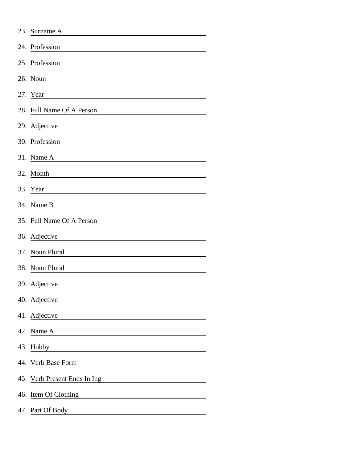|     | 23. Surname A                |
|-----|------------------------------|
|     | 24. Profession               |
|     | 25. Profession               |
|     | 26. Noun                     |
|     | 27. Year                     |
|     | 28. Full Name Of A Person    |
|     | 29. Adjective                |
|     | 30. Profession               |
|     | 31. Name A                   |
|     | 32. Month                    |
|     | 33. Year                     |
|     | 34. Name B                   |
|     | 35. Full Name Of A Person    |
|     | 36. Adjective                |
| 37. | Noun Plural                  |
|     | 38. Noun Plural              |
|     | 39. Adjective                |
|     | 40. Adjective                |
|     | 41. Adjective                |
|     | 42. Name A                   |
|     | 43. Hobby                    |
|     | 44. Verb Base Form           |
|     | 45. Verb Present Ends In Ing |
|     | 46. Item Of Clothing         |
|     | 47. Part Of Body             |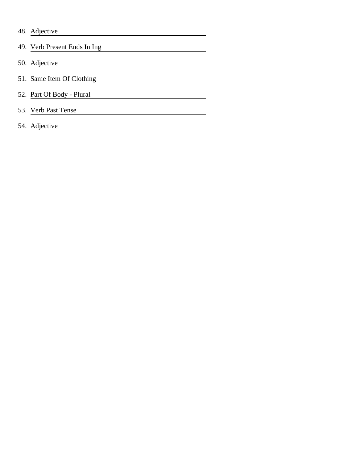|  |  | 48. Adjective |
|--|--|---------------|
|--|--|---------------|

| 49. Verb Present Ends In Ing. |
|-------------------------------|
| 50. Adjective                 |
| 51. Same Item Of Clothing     |
| 52. Part Of Body - Plural     |
| 53. Verb Past Tense           |
| 54. Adjective                 |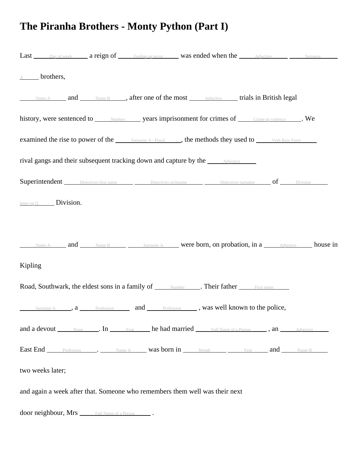## **The Piranha Brothers - Monty Python (Part I)**

|         |                          |                                                           | Last Day of week a reign of Feeling eg terror was ended when the Adjective Surname                     |  |
|---------|--------------------------|-----------------------------------------------------------|--------------------------------------------------------------------------------------------------------|--|
|         | $\overline{A}$ brothers, |                                                           |                                                                                                        |  |
|         |                          |                                                           | Name A and Name B and Refer one of the most Adjective trials in British legal                          |  |
|         |                          |                                                           | history, were sentenced to Mumber years imprisonment for crimes of Crime eg violence We                |  |
|         |                          |                                                           | examined the rise to power of the Sumame A - Plural , the methods they used to Verb Base Form          |  |
|         |                          |                                                           | rival gangs and their subsequent tracking down and capture by the <i>_____</i> Adjective <i>____</i>   |  |
|         |                          |                                                           | Superintendent Detectives first name Detectives nickname Detectives surname of Division                |  |
|         | $letter eg Q$ Division.  |                                                           |                                                                                                        |  |
|         |                          |                                                           |                                                                                                        |  |
|         |                          |                                                           | Name A and Mame B Sumame A were born, on probation, in a Adjective house in                            |  |
| Kipling |                          |                                                           |                                                                                                        |  |
|         |                          |                                                           | Road, Southwark, the eldest sons in a family of <u>Number Collect and First name</u>                   |  |
|         |                          |                                                           | Surname A ____, a _____ Profession _______ and ______ Profession ______, was well known to the police, |  |
|         |                          |                                                           | and a devout Noun . In Year he had married Full Name of a Person , an Adjective                        |  |
|         |                          |                                                           | East End Profession . Name A was born in Month Year and Name B                                         |  |
|         | two weeks later;         |                                                           |                                                                                                        |  |
|         |                          |                                                           | and again a week after that. Someone who remembers them well was their next                            |  |
|         |                          | door neighbour, Mrs ______ Full Name of a Person _______. |                                                                                                        |  |